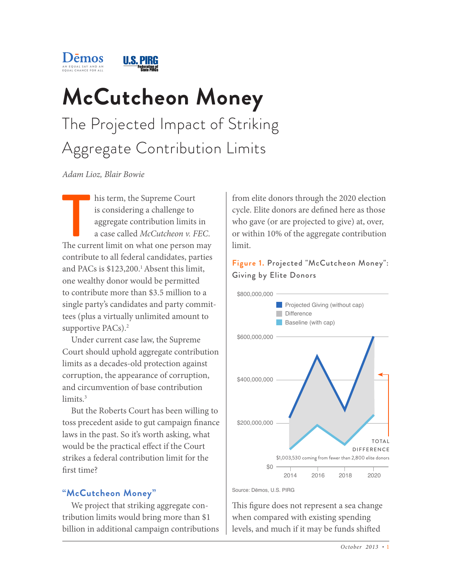

# **McCutcheon Money** The Projected Impact of Striking Aggregate Contribution Limits

*Adam Lioz, Blair Bowie*

The current limit on what one person may<br>The current limit on what one person may<br>The current limit on what one person may his term, the Supreme Court is considering a challenge to aggregate contribution limits in a case called *McCutcheon v. FEC*. contribute to all federal candidates, parties and PACs is \$123,200.<sup>1</sup> Absent this limit, one wealthy donor would be permitted to contribute more than \$3.5 million to a single party's candidates and party committees (plus a virtually unlimited amount to supportive PACs).<sup>2</sup>

Under current case law, the Supreme Court should uphold aggregate contribution limits as a decades-old protection against corruption, the appearance of corruption, and circumvention of base contribution limits.<sup>3</sup>

But the Roberts Court has been willing to toss precedent aside to gut campaign finance laws in the past. So it's worth asking, what would be the practical effect if the Court strikes a federal contribution limit for the first time?

# **"McCutcheon Money"**

We project that striking aggregate contribution limits would bring more than \$1 billion in additional campaign contributions from elite donors through the 2020 election cycle. Elite donors are defined here as those who gave (or are projected to give) at, over, or within 10% of the aggregate contribution limit.

## **Figure 1.** Projected "McCutcheon Money": Giving by Elite Donors



Source: Dēmos, U.S. PIRG

This figure does not represent a sea change when compared with existing spending levels, and much if it may be funds shifted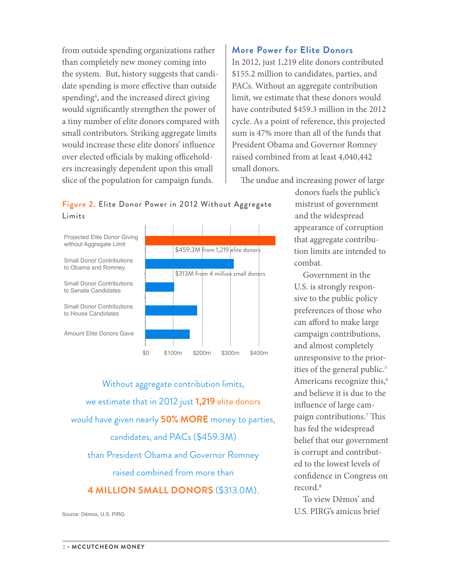from outside spending organizations rather than completely new money coming into the system. But, history suggests that candidate spending is more effective than outside spending<sup>4</sup>, and the increased direct giving would significantly strengthen the power of a tiny number of elite donors compared with small contributors. Striking aggregate limits would increase these elite donors' influence over elected officials by making officeholders increasingly dependent upon this small slice of the population for campaign funds.

## **More Power for Elite Donors**

In 2012, just 1,219 elite donors contributed \$155.2 million to candidates, parties, and PACs. Without an aggregate contribution limit, we estimate that these donors would have contributed \$459.3 million in the 2012 cycle. As a point of reference, this projected sum is 47% more than all of the funds that President Obama and Governor Romney raised combined from at least 4,040,442 small donors.

The undue and increasing power of large

## **Figure 2.** Elite Donor Power in 2012 Without Aggregate Limits



Without aggregate contribution limits, we estimate that in 2012 just **1,219** elite donors would have given nearly **50% MORE** money to parties, candidates, and PACs (\$459.3M) than President Obama and Governor Romney raised combined from more than **4 MILLION SMALL DONORS** (\$313.0M).

Source: Dēmos, U.S. PIRG

donors fuels the public's mistrust of government and the widespread appearance of corruption that aggregate contribution limits are intended to combat.

Government in the U.S. is strongly responsive to the public policy preferences of those who can afford to make large campaign contributions, and almost completely unresponsive to the priorities of the general public.<sup>5</sup> Americans recognize this,<sup>6</sup> and believe it is due to the influence of large campaign contributions.7 This has fed the widespread belief that our government is corrupt and contributed to the lowest levels of confidence in Congress on record.<sup>8</sup>

To view Dēmos' and U.S. PIRG's amicus brief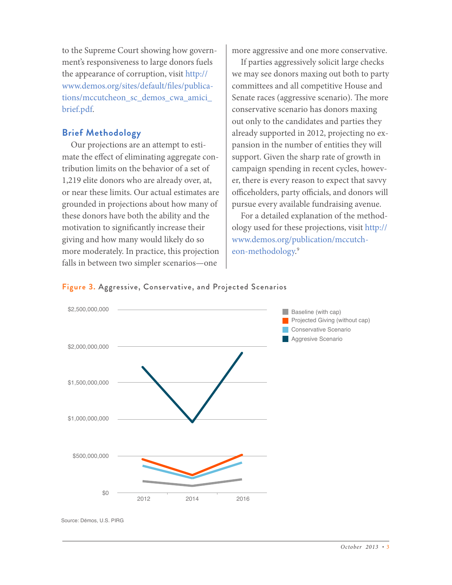to the Supreme Court showing how government's responsiveness to large donors fuels the appearance of corruption, visit http:// www.demos.org/sites/default/files/publications/mccutcheon\_sc\_demos\_cwa\_amici\_ brief.pdf.

# **Brief Methodology**

Our projections are an attempt to estimate the effect of eliminating aggregate contribution limits on the behavior of a set of 1,219 elite donors who are already over, at, or near these limits. Our actual estimates are grounded in projections about how many of these donors have both the ability and the motivation to significantly increase their giving and how many would likely do so more moderately. In practice, this projection falls in between two simpler scenarios—one

more aggressive and one more conservative.

If parties aggressively solicit large checks we may see donors maxing out both to party committees and all competitive House and Senate races (aggressive scenario). The more conservative scenario has donors maxing out only to the candidates and parties they already supported in 2012, projecting no expansion in the number of entities they will support. Given the sharp rate of growth in campaign spending in recent cycles, however, there is every reason to expect that savvy officeholders, party officials, and donors will pursue every available fundraising avenue.

For a detailed explanation of the methodology used for these projections, visit http:// www.demos.org/publication/mccutcheon-methodology. 9





Source: Dēmos, U.S. PIRG